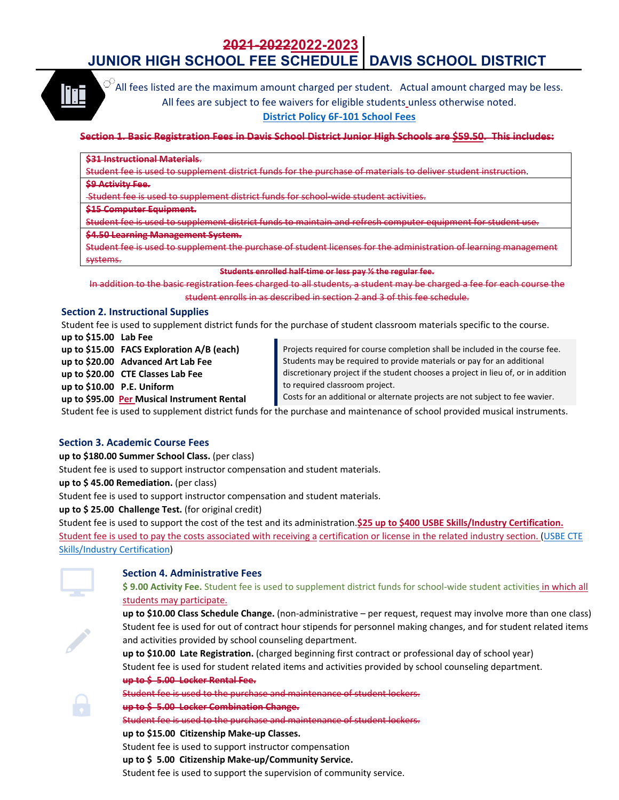# **2021-20222022-2023 JUNIOR HIGH SCHOOL FEE SCHEDULE DAVIS SCHOOL DISTRICT**



 $\heartsuit$ All fees listed are the maximum amount charged per student. Actual amount charged may be less. All fees are subject to fee waivers for eligible students unless otherwise noted.

## **District Policy 6F‐101 School Fees**

## <u>Section 1. Basic Registration Fees in Davis School District Junior High Schools are \$59.50. This includes:</u>

#### **\$31 Instructional Materials**.

Student fee is used to supplement district funds for the purchase of materials to deliver student instruction.

**\$9 Activity Fee.**

Student fee is used to supplement district funds for school‐wide student activities.

#### **\$15 Computer Equipment.**

Student fee is used to supplement district funds to maintain and refresh computer equipment for student use.

#### **\$4.50 Learning Management System.**

Student fee is used to supplement the purchase of student licenses for the administration of learning management systems.

#### **Students enrolled half‐time or less pay ½ the regular fee.**

In addition to the basic registration fees charged to all students, a student may be charged a fee for each course the student enrolls in as described in section 2 and 3 of this fee schedule.

## **Section 2. Instructional Supplies**

Student fee is used to supplement district funds for the purchase of student classroom materials specific to the course.

**up to \$15.00 Lab Fee**

**up to \$15.00 FACS Exploration A/B (each) up to \$20.00 Advanced Art Lab Fee up to \$20.00 CTE Classes Lab Fee** 

**up to \$10.00 P.E. Uniform**

**up to \$95.00 Per Musical Instrument Rental**

Projects required for course completion shall be included in the course fee. Students may be required to provide materials or pay for an additional discretionary project if the student chooses a project in lieu of, or in addition to required classroom project.

Costs for an additional or alternate projects are not subject to fee wavier.

Student fee is used to supplement district funds for the purchase and maintenance of school provided musical instruments.

## **Section 3. Academic Course Fees**

**up to \$180.00 Summer School Class.** (per class)

Student fee is used to support instructor compensation and student materials.

**up to \$ 45.00 Remediation.** (per class)

Student fee is used to support instructor compensation and student materials.

**up to \$ 25.00 Challenge Test.** (for original credit)

Student fee is used to support the cost of the test and its administration.**\$25 up to \$400 USBE Skills/Industry Certification.** Student fee is used to pay the costs associated with receiving a certification or license in the related industry section. (USBE CTE Skills/Industry Certification)



## **Section 4. Administrative Fees**

**\$ 9.00 Activity Fee.** Student fee is used to supplement district funds for school‐wide student activities in which all students may participate.



# **up to \$10.00 Class Schedule Change.** (non‐administrative – per request, request may involve more than one class) Student fee is used for out of contract hour stipends for personnel making changes, and for student related items and activities provided by school counseling department.

**up to \$10.00 Late Registration.** (charged beginning first contract or professional day of school year) Student fee is used for student related items and activities provided by school counseling department. **up to \$ 5.00 Locker Rental Fee.**



Student fee is used to the purchase and maintenance of student lockers.

## **up to \$ 5.00 Locker Combination Change.**

Student fee is used to the purchase and maintenance of student lockers.

**up to \$15.00 Citizenship Make‐up Classes.**

Student fee is used to support instructor compensation

**up to \$ 5.00 Citizenship Make‐up/Community Service.**

Student fee is used to support the supervision of community service.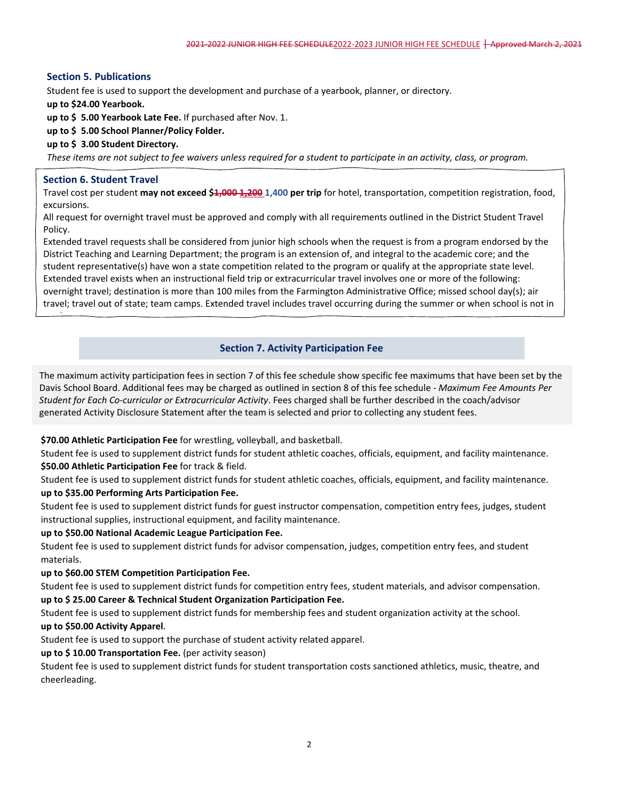# **Section 5. Publications**

Student fee is used to support the development and purchase of a yearbook, planner, or directory.

**up to \$24.00 Yearbook.**

**up to \$ 5.00 Yearbook Late Fee.** If purchased after Nov. 1.

**up to \$ 5.00 School Planner/Policy Folder.**

## **up to \$ 3.00 Student Directory.**

These items are not subject to fee waivers unless required for a student to participate in an activity, class, or program.

## **Section 6. Student Travel**

i

Travel cost per student **may not exceed \$1,000 1,200 1,400 per trip** for hotel, transportation, competition registration, food, excursions.

All request for overnight travel must be approved and comply with all requirements outlined in the District Student Travel Policy.

Extended travel requests shall be considered from junior high schools when the request is from a program endorsed by the District Teaching and Learning Department; the program is an extension of, and integral to the academic core; and the student representative(s) have won a state competition related to the program or qualify at the appropriate state level. Extended travel exists when an instructional field trip or extracurricular travel involves one or more of the following: overnight travel; destination is more than 100 miles from the Farmington Administrative Office; missed school day(s); air travel; travel out of state; team camps. Extended travel includes travel occurring during the summer or when school is not in

# **Section 7. Activity Participation Fee**

The maximum activity participation fees in section 7 of this fee schedule show specific fee maximums that have been set by the Davis School Board. Additional fees may be charged as outlined in section 8 of this fee schedule ‐ *Maximum Fee Amounts Per Student for Each Co‐curricular or Extracurricular Activity*. Fees charged shall be further described in the coach/advisor generated Activity Disclosure Statement after the team is selected and prior to collecting any student fees.

## **\$70.00 Athletic Participation Fee** for wrestling, volleyball, and basketball.

Student fee is used to supplement district funds for student athletic coaches, officials, equipment, and facility maintenance. **\$50.00 Athletic Participation Fee** for track & field.

Student fee is used to supplement district funds for student athletic coaches, officials, equipment, and facility maintenance. **up to \$35.00 Performing Arts Participation Fee.** 

Student fee is used to supplement district funds for guest instructor compensation, competition entry fees, judges, student instructional supplies, instructional equipment, and facility maintenance.

## **up to \$50.00 National Academic League Participation Fee.**

Student fee is used to supplement district funds for advisor compensation, judges, competition entry fees, and student materials.

## **up to \$60.00 STEM Competition Participation Fee.**

Student fee is used to supplement district funds for competition entry fees, student materials, and advisor compensation. **up to \$ 25.00 Career & Technical Student Organization Participation Fee.**

Student fee is used to supplement district funds for membership fees and student organization activity at the school.

## **up to \$50.00 Activity Apparel**.

Student fee is used to support the purchase of student activity related apparel.

## **up to \$ 10.00 Transportation Fee.** (per activity season)

Student fee is used to supplement district funds for student transportation costs sanctioned athletics, music, theatre, and cheerleading.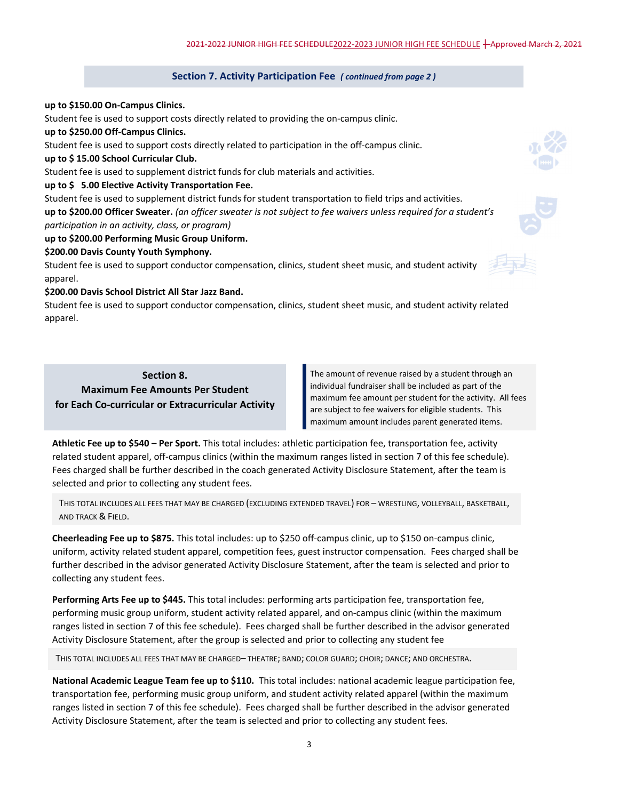#### **Section 7. Activity Participation Fee** *( continued from page <sup>2</sup> )*

#### **up to \$150.00 On‐Campus Clinics.**

Student fee is used to support costs directly related to providing the on‐campus clinic.

**up to \$250.00 Off‐Campus Clinics.**

Student fee is used to support costs directly related to participation in the off-campus clinic.

#### **up to \$ 15.00 School Curricular Club.**

Student fee is used to supplement district funds for club materials and activities.

#### **up to \$ 5.00 Elective Activity Transportation Fee.**

Student fee is used to supplement district funds for student transportation to field trips and activities. up to \$200.00 Officer Sweater. (an officer sweater is not subject to fee waivers unless required for a student's *participation in an activity, class, or program)*

# **up to \$200.00 Performing Music Group Uniform.**

#### **\$200.00 Davis County Youth Symphony.**

Student fee is used to support conductor compensation, clinics, student sheet music, and student activity apparel.

#### **\$200.00 Davis School District All Star Jazz Band.**

Student fee is used to support conductor compensation, clinics, student sheet music, and student activity related apparel.

# **Section 8. Maximum Fee Amounts Per Student for Each Co‐curricular or Extracurricular Activity**

The amount of revenue raised by a student through an individual fundraiser shall be included as part of the maximum fee amount per student for the activity. All fees are subject to fee waivers for eligible students. This maximum amount includes parent generated items.

**Athletic Fee up to \$540 – Per Sport.** This total includes: athletic participation fee, transportation fee, activity related student apparel, off-campus clinics (within the maximum ranges listed in section 7 of this fee schedule). Fees charged shall be further described in the coach generated Activity Disclosure Statement, after the team is selected and prior to collecting any student fees.

THIS TOTAL INCLUDES ALL FEES THAT MAY BE CHARGED (EXCLUDING EXTENDED TRAVEL) FOR – WRESTLING, VOLLEYBALL, BASKETBALL, AND TRACK & FIELD.

**Cheerleading Fee up to \$875.** This total includes: up to \$250 off‐campus clinic, up to \$150 on‐campus clinic, uniform, activity related student apparel, competition fees, guest instructor compensation. Fees charged shall be further described in the advisor generated Activity Disclosure Statement, after the team is selected and prior to collecting any student fees.

**Performing Arts Fee up to \$445.** This total includes: performing arts participation fee, transportation fee, performing music group uniform, student activity related apparel, and on‐campus clinic (within the maximum ranges listed in section 7 of this fee schedule). Fees charged shall be further described in the advisor generated Activity Disclosure Statement, after the group is selected and prior to collecting any student fee

THIS TOTAL INCLUDES ALL FEES THAT MAY BE CHARGED– THEATRE; BAND; COLOR GUARD; CHOIR; DANCE; AND ORCHESTRA.

**National Academic League Team fee up to \$110.** This total includes: national academic league participation fee, transportation fee, performing music group uniform, and student activity related apparel (within the maximum ranges listed in section 7 of this fee schedule). Fees charged shall be further described in the advisor generated Activity Disclosure Statement, after the team is selected and prior to collecting any student fees.